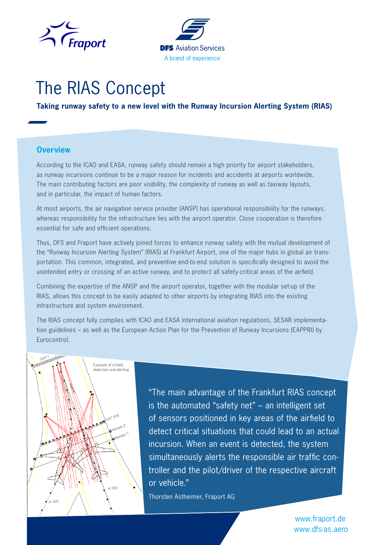



# The RIAS Concept

**Taking runway safety to a new level with the Runway Incursion Alerting System (RIAS)**

#### **Overview**

According to the ICAO and EASA, runway safety should remain a high priority for airport stakeholders, as runway incursions continue to be a major reason for incidents and accidents at airports worldwide. The main contributing factors are poor visibility, the complexity of runway as well as taxiway layouts, and in particular, the impact of human factors.

At most airports, the air navigation service provider (ANSP) has operational responsibility for the runways, whereas responsibility for the infrastructure lies with the airport operator. Close cooperation is therefore essential for safe and efficient operations.

Thus, DFS and Fraport have actively joined forces to enhance runway safety with the mutual development of the "Runway Incursion Alerting System" (RIAS) at Frankfurt Airport, one of the major hubs in global air transportation. This common, integrated, and preventive end-to-end solution is specifically designed to avoid the unintended entry or crossing of an active runway, and to protect all safety-critical areas of the airfield.

Combining the expertise of the ANSP and the airport operator, together with the modular set-up of the RIAS, allows this concept to be easily adapted to other airports by integrating RIAS into the existing infrastructure and system environment.

The RIAS concept fully complies with ICAO and EASA international aviation regulations, SESAR implementation guidelines – as well as the European Action Plan for the Prevention of Runway Incursions (EAPPRI) by Eurocontrol.



"The main advantage of the Frankfurt RIAS concept is the automated "safety net" – an intelligent set of sensors positioned in key areas of the airfield to detect critical situations that could lead to an actual incursion. When an event is detected, the system simultaneously alerts the responsible air traffic controller and the pilot/driver of the respective aircraft or vehicle."

Thorsten Astheimer, Fraport AG

[www.dfs-as.aero](https://dfs-as.aero/en/) [www.fraport.de](https://www.fraport.com/en.html)